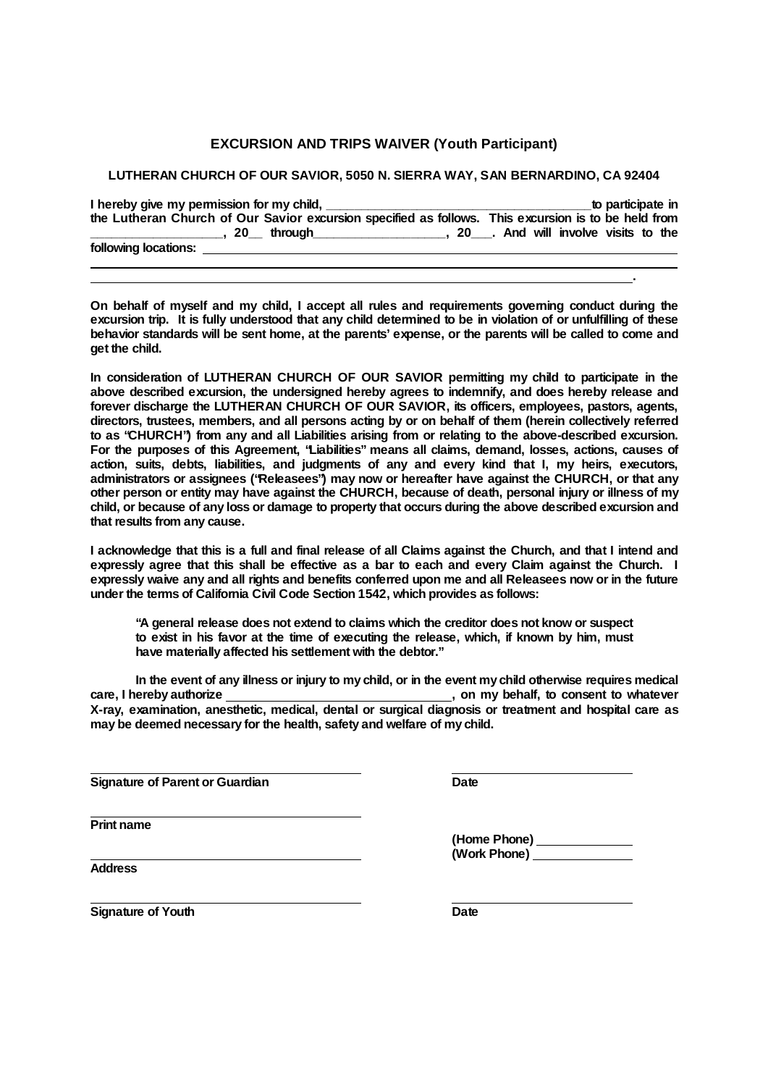## **EXCURSION AND TRIPS WAIVER (Youth Participant)**

## **LUTHERAN CHURCH OF OUR SAVIOR, 5050 N. SIERRA WAY, SAN BERNARDINO, CA 92404**

|                                                                                                                                                                                                                                | to participate in |
|--------------------------------------------------------------------------------------------------------------------------------------------------------------------------------------------------------------------------------|-------------------|
| the Lutheran Church of Our Savior excursion specified as follows. This excursion is to be held from                                                                                                                            |                   |
| 20 through measured the 20 hours and the contract to the 20 hours and the 20 hours and the 20 hours and the 20 hours and the 20 hours and 20 hours and 20 hours and 20 hours and 20 hours and 20 hours and 20 hours and 20 hou |                   |
| following locations:                                                                                                                                                                                                           |                   |
|                                                                                                                                                                                                                                |                   |

**On behalf of myself and my child, I accept all rules and requirements governing conduct during the** excursion trip. It is fully understood that any child determined to be in violation of or unfulfilling of these behavior standards will be sent home, at the parents' expense, or the parents will be called to come and **get the child.**

**In consideration of LUTHERAN CHURCH OF OUR SAVIOR permitting my child to participate in the above described excursion, the undersigned hereby agrees to indemnify, and does hereby release and forever discharge the LUTHERAN CHURCH OF OUR SAVIOR, its officers, employees, pastors, agents, directors, trustees, members, and all persons acting by or on behalf of them (herein collectively referred to as "CHURCH") from any and all Liabilities arising from or relating to the above-described excursion. For the purposes of this Agreement, "Liabilities"means all claims, demand, losses, actions, causes of action, suits, debts, liabilities, and judgments of any and every kind that I, my heirs, executors, administrators or assignees ("Releasees") may now or hereafter have against the CHURCH, or that any** other person or entity may have against the CHURCH, because of death, personal injury or illness of my child, or because of any loss or damage to property that occurs during the above described excursion and **that results from any cause.**

I acknowledge that this is a full and final release of all Claims against the Church, and that I intend and expressly agree that this shall be effective as a bar to each and every Claim against the Church. I expressly waive any and all rights and benefits conferred upon me and all Releasees now or in the future **under the terms of California Civil Code Section 1542, which provides as follows:**

**"A general release does not extend to claims which the creditor does not know or suspect to exist in his favor at the time of executing the release, which, if known by him, must have materially affected his settlement with the debtor."**

In the event of any illness or injury to my child, or in the event my child otherwise requires medical **care, I hereby authorize , on my behalf, to consent to whatever X-ray, examination, anesthetic, medical, dental or surgical diagnosis or treatment and hospital care as may be deemed necessary for the health, safety and welfare of my child.**

**Signature of Parent or Guardian Date**

**Print name**

**(Home Phone) (Work Phone)**

**.**

**Address**

**Signature** of Youth **Date**